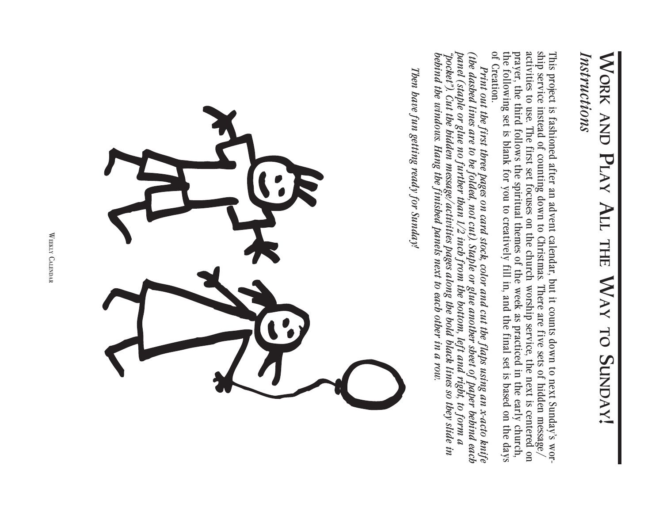## *Instructions* **Work** Instructions **and Play All the Way to Sunday!**

of Creation. ship service instead of counting down to Christmas. There are five sets of hidden message/activities to use. The first set focuses on the church worship service, the next is centered on the following set is blank for you to creatively fill in, and the final set is based on the days prayer, the third follows the spiritual themes of the week as practiced in the early church, activities to use. The first set focuses on the church worship service, the next is centered on This project is fashioned after an advent calendar, but it counts down to next Sunday's wor of Creation. the following set is blank for you to creatively fill in, and the final set is based on the days prayer, the third follows the spiritual themes of the week as practiced in the early church, ship service instead of counting down to Christmas. There are five sets of hidden message/ This project is fashioned after an advent calendar, but it counts down to next Sunday's wor

 *Print out the first three pages on card stock, color and cut the flaps using an x-acto knife (the dashed lines are to be folded, not cut). Staple or glue another sheet of paper behind each panel (staple or glue no further than 1/2 inch from the bottom, left and right, to form a "pocket"). Cut the hidden message/activities pages along the bold black lines so they slide in behind the windows. Hang the finished panels next to each other in a row.*

*Then have fun getting ready for Sunday!*



WEEKLY CALENDAR Weekly Calendar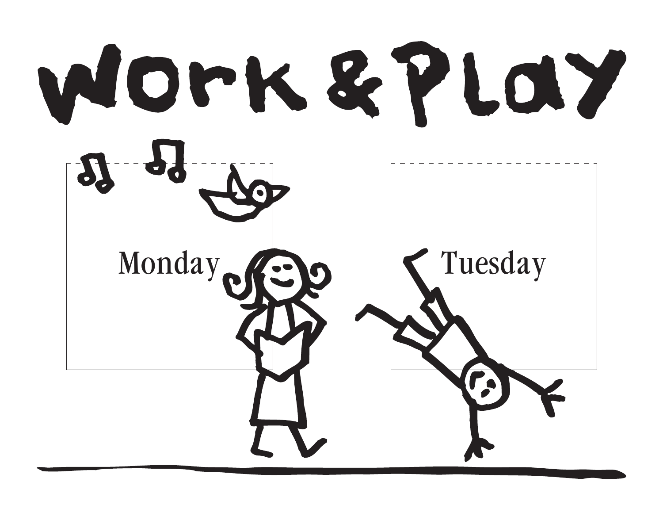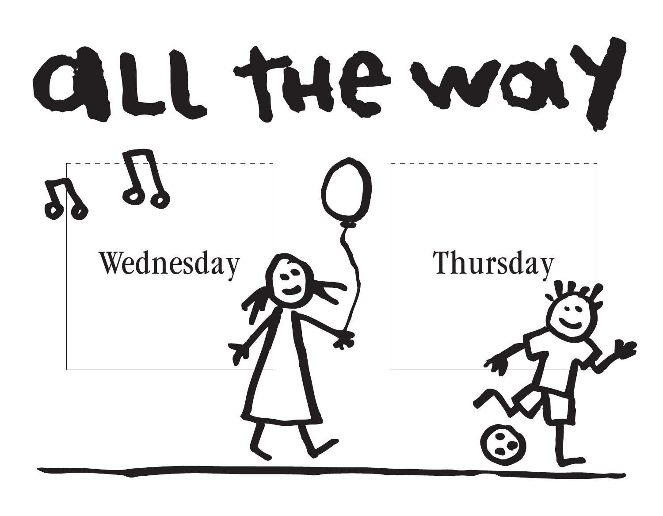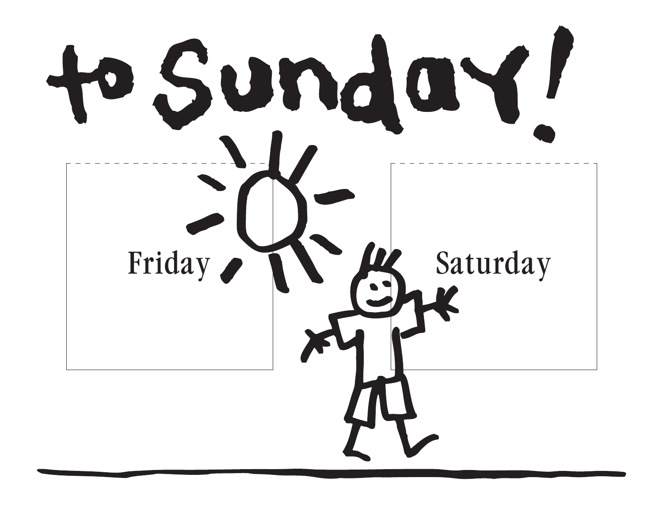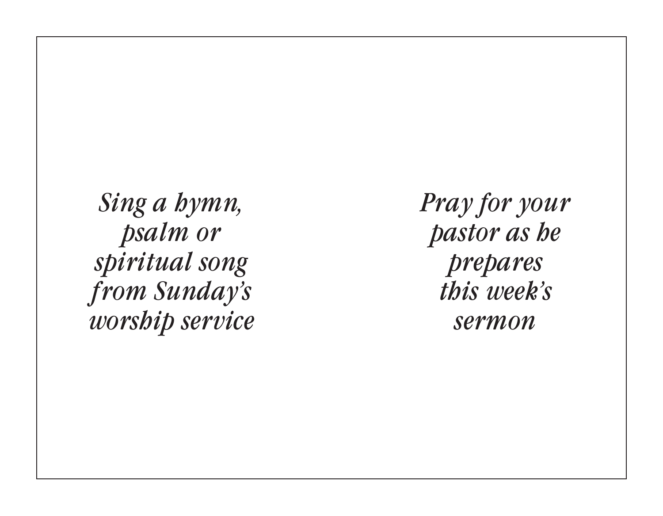*Sing a hymn, psalm or spiritual song from Sunday's worship service* *Pray for your pastor as he prepares this week's sermon*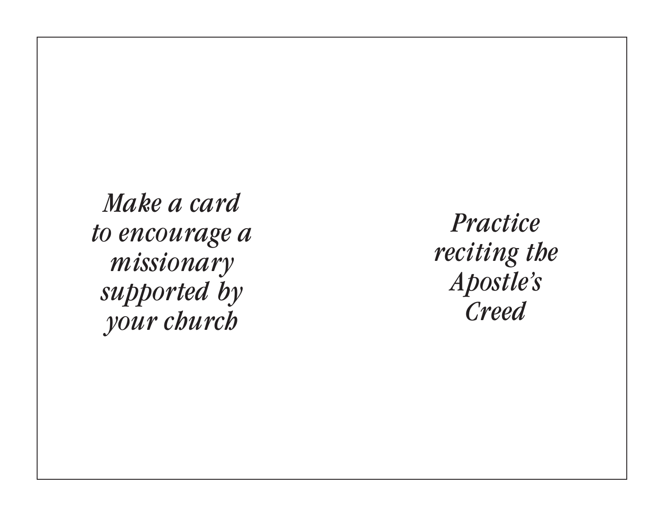*Make a card to encourage a missionary supported by your church*

*Practice reciting the Apostle's Creed*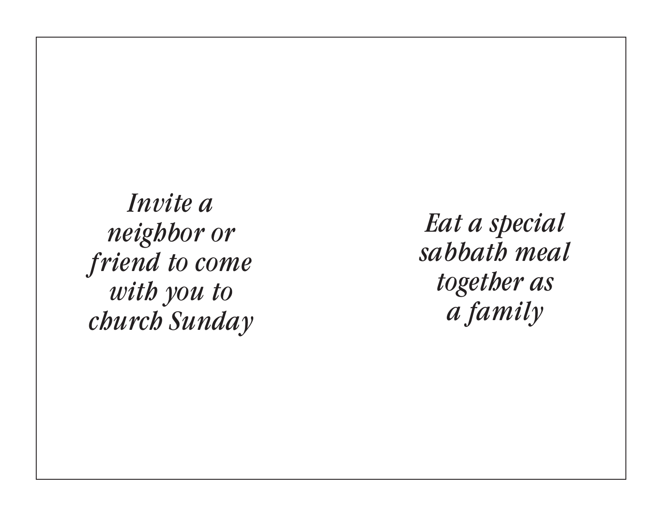*Invite a neighbor or friend to come with you to church Sunday*

*Eat a special sabbath meal together as a family*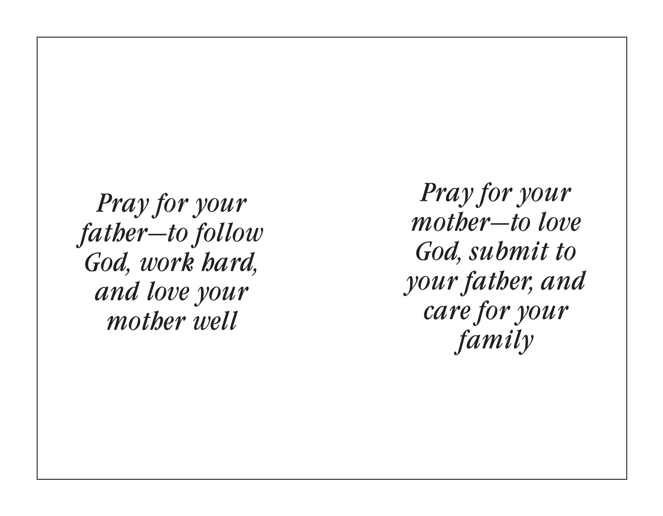*Pray for your father—to follow God, work hard, and love your mother well*

*Pray for your mother—to love God, submit to your father, and care for your family*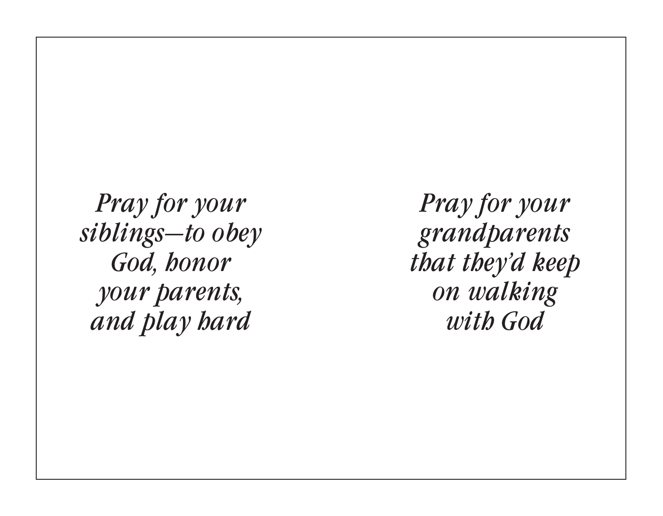*Pray for your siblings—to obey God, honor your parents, and play hard*

*Pray for your grandparents that they'd keep on walking with God*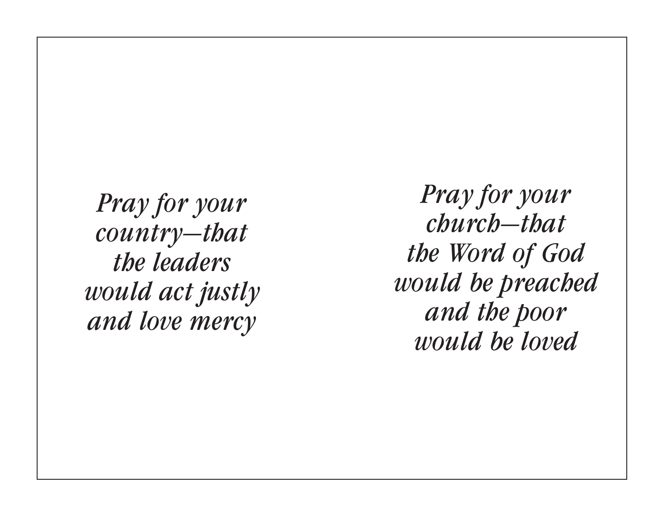*Pray for your country—that the leaders would act justly and love mercy*

*Pray for your church—that the Word of God would be preached and the poor would be loved*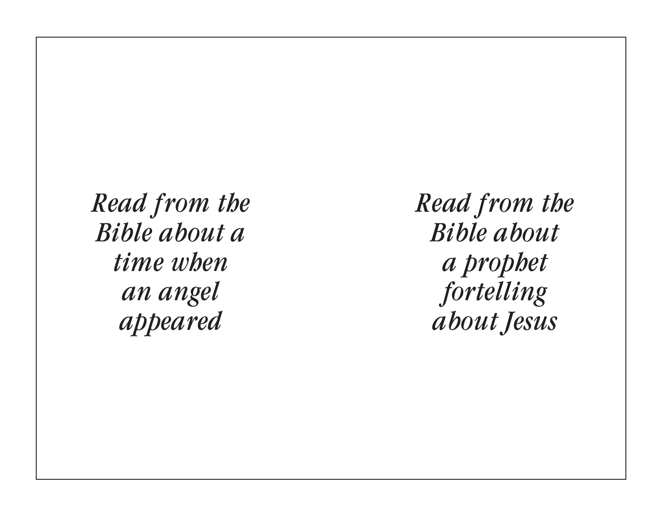*Read from the Bible about a time when an angel appeared*

*Read from the Bible about a prophet fortelling about Jesus*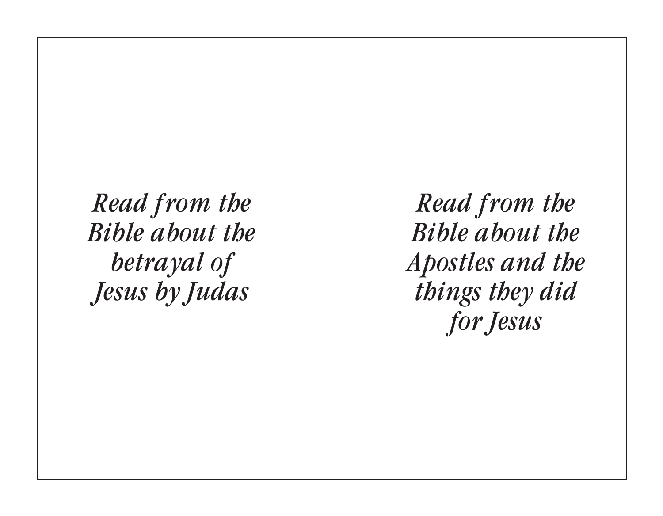*Read from the Bible about the betrayal of Jesus by Judas*

*Read from the Bible about the Apostles and the things they did for Jesus*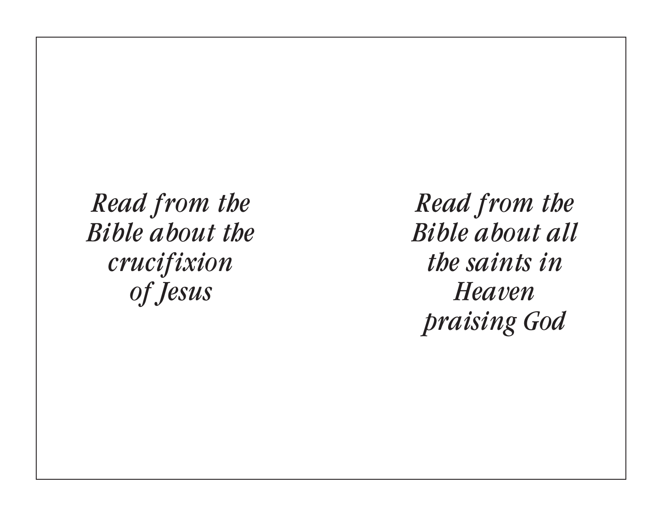*Read from the Bible about the crucifixion of Jesus*

*Read from the Bible about all the saints in Heaven praising God*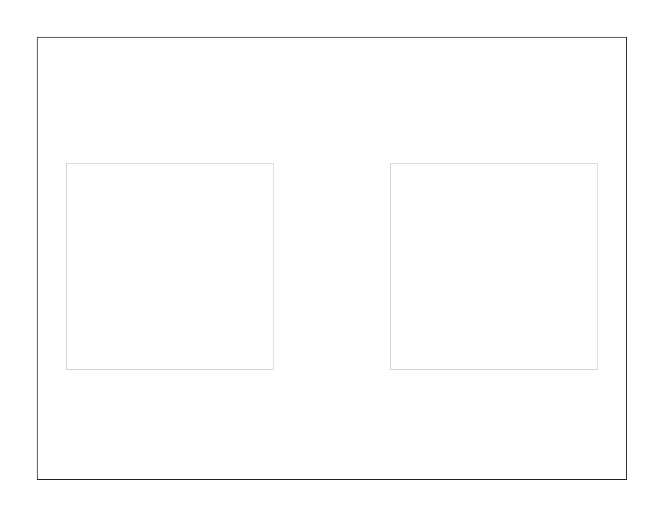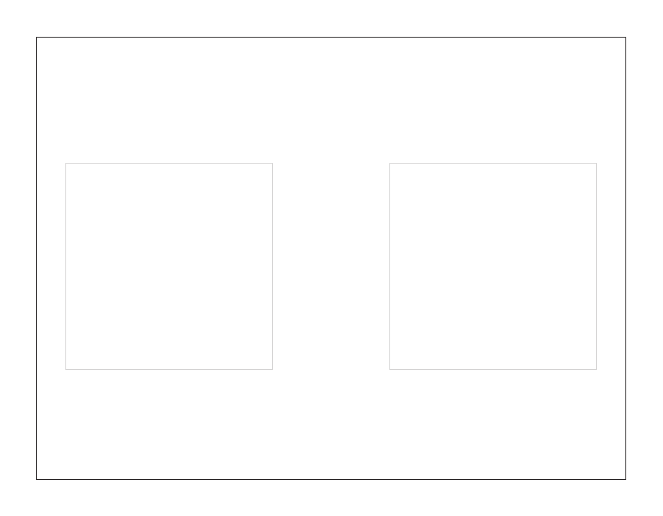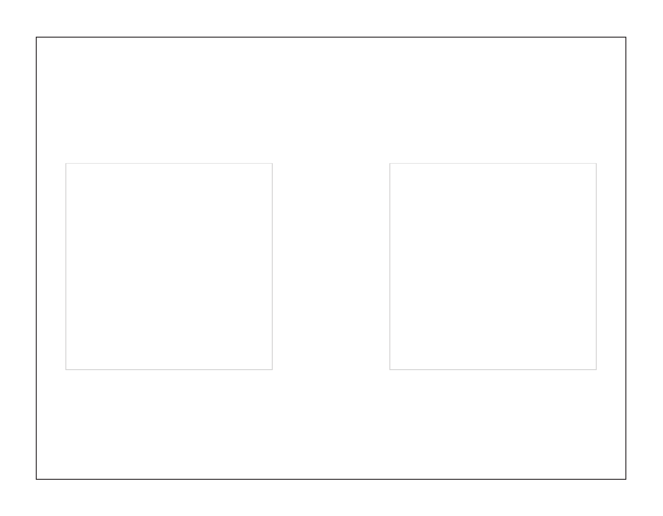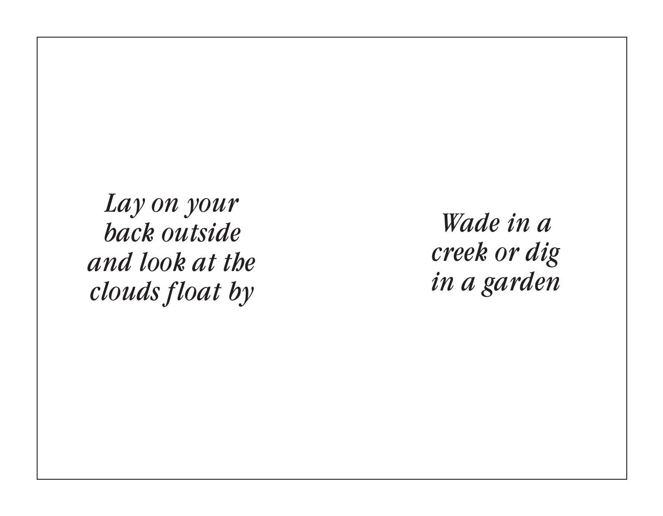*Lay on your back outside and look at the clouds float by*

*Wade in a creek or dig in a garden*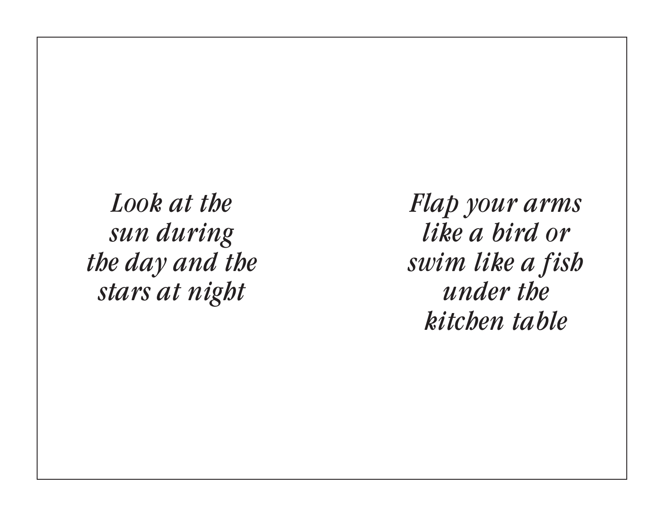*Look at the sun during the day and the stars at night*

*Flap your arms like a bird or swim like a fish under the kitchen table*